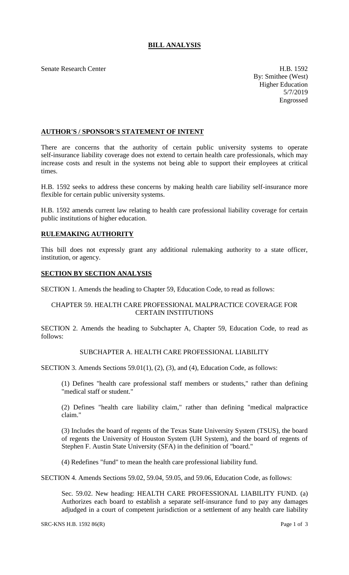# **BILL ANALYSIS**

Senate Research Center **H.B. 1592** 

By: Smithee (West) Higher Education 5/7/2019 Engrossed

### **AUTHOR'S / SPONSOR'S STATEMENT OF INTENT**

There are concerns that the authority of certain public university systems to operate self-insurance liability coverage does not extend to certain health care professionals, which may increase costs and result in the systems not being able to support their employees at critical times.

H.B. 1592 seeks to address these concerns by making health care liability self-insurance more flexible for certain public university systems.

H.B. 1592 amends current law relating to health care professional liability coverage for certain public institutions of higher education.

# **RULEMAKING AUTHORITY**

This bill does not expressly grant any additional rulemaking authority to a state officer, institution, or agency.

### **SECTION BY SECTION ANALYSIS**

SECTION 1. Amends the heading to Chapter 59, Education Code, to read as follows:

### CHAPTER 59. HEALTH CARE PROFESSIONAL MALPRACTICE COVERAGE FOR CERTAIN INSTITUTIONS

SECTION 2. Amends the heading to Subchapter A, Chapter 59, Education Code, to read as follows:

### SUBCHAPTER A. HEALTH CARE PROFESSIONAL LIABILITY

SECTION 3. Amends Sections 59.01(1), (2), (3), and (4), Education Code, as follows:

(1) Defines "health care professional staff members or students," rather than defining "medical staff or student."

(2) Defines "health care liability claim," rather than defining "medical malpractice claim."

(3) Includes the board of regents of the Texas State University System (TSUS), the board of regents the University of Houston System (UH System), and the board of regents of Stephen F. Austin State University (SFA) in the definition of "board."

(4) Redefines "fund" to mean the health care professional liability fund.

SECTION 4. Amends Sections 59.02, 59.04, 59.05, and 59.06, Education Code, as follows:

Sec. 59.02. New heading: HEALTH CARE PROFESSIONAL LIABILITY FUND. (a) Authorizes each board to establish a separate self-insurance fund to pay any damages adjudged in a court of competent jurisdiction or a settlement of any health care liability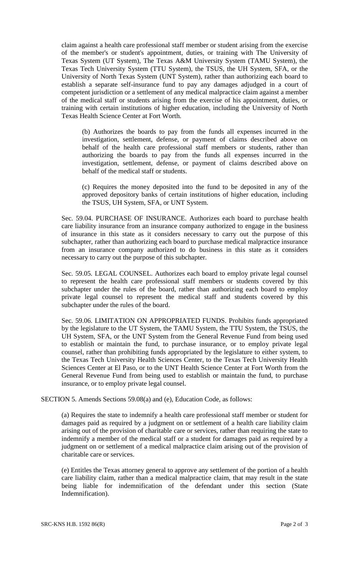claim against a health care professional staff member or student arising from the exercise of the member's or student's appointment, duties, or training with The University of Texas System (UT System), The Texas A&M University System (TAMU System), the Texas Tech University System (TTU System), the TSUS, the UH System, SFA, or the University of North Texas System (UNT System), rather than authorizing each board to establish a separate self-insurance fund to pay any damages adjudged in a court of competent jurisdiction or a settlement of any medical malpractice claim against a member of the medical staff or students arising from the exercise of his appointment, duties, or training with certain institutions of higher education, including the University of North Texas Health Science Center at Fort Worth.

(b) Authorizes the boards to pay from the funds all expenses incurred in the investigation, settlement, defense, or payment of claims described above on behalf of the health care professional staff members or students, rather than authorizing the boards to pay from the funds all expenses incurred in the investigation, settlement, defense, or payment of claims described above on behalf of the medical staff or students.

(c) Requires the money deposited into the fund to be deposited in any of the approved depository banks of certain institutions of higher education, including the TSUS, UH System, SFA, or UNT System.

Sec. 59.04. PURCHASE OF INSURANCE. Authorizes each board to purchase health care liability insurance from an insurance company authorized to engage in the business of insurance in this state as it considers necessary to carry out the purpose of this subchapter, rather than authorizing each board to purchase medical malpractice insurance from an insurance company authorized to do business in this state as it considers necessary to carry out the purpose of this subchapter.

Sec. 59.05. LEGAL COUNSEL. Authorizes each board to employ private legal counsel to represent the health care professional staff members or students covered by this subchapter under the rules of the board, rather than authorizing each board to employ private legal counsel to represent the medical staff and students covered by this subchapter under the rules of the board.

Sec. 59.06. LIMITATION ON APPROPRIATED FUNDS. Prohibits funds appropriated by the legislature to the UT System, the TAMU System, the TTU System, the TSUS, the UH System, SFA, or the UNT System from the General Revenue Fund from being used to establish or maintain the fund, to purchase insurance, or to employ private legal counsel, rather than prohibiting funds appropriated by the legislature to either system, to the Texas Tech University Health Sciences Center, to the Texas Tech University Health Sciences Center at El Paso, or to the UNT Health Science Center at Fort Worth from the General Revenue Fund from being used to establish or maintain the fund, to purchase insurance, or to employ private legal counsel.

SECTION 5. Amends Sections 59.08(a) and (e), Education Code, as follows:

(a) Requires the state to indemnify a health care professional staff member or student for damages paid as required by a judgment on or settlement of a health care liability claim arising out of the provision of charitable care or services, rather than requiring the state to indemnify a member of the medical staff or a student for damages paid as required by a judgment on or settlement of a medical malpractice claim arising out of the provision of charitable care or services.

(e) Entitles the Texas attorney general to approve any settlement of the portion of a health care liability claim, rather than a medical malpractice claim, that may result in the state being liable for indemnification of the defendant under this section (State Indemnification).